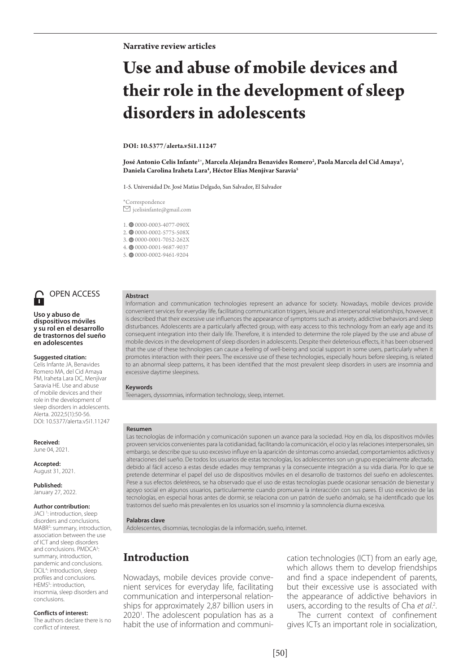# **Use and abuse of mobile devices and their role in the development of sleep disorders in adolescents**

#### **DOI: 10.5377/alerta.v5i1.11247**

**José Antonio Celis Infante1** \***, Marcela Alejandra Benavides Romero2 , Paola Marcela del Cid Amaya3 , Daniela Carolina Iraheta Lara4 , Héctor Elías Menjívar Saravia5**

1-5. Universidad Dr. José Matías Delgado, San Salvador, El Salvador

\*Correspondence  $\boxdot$ jcelisinfante@gmail.com

1. © 0000-0003-4077-090X

2. 00000-0002-5775-508X

3. 00000-0001-7052-262X

4. 0000-0001-9687-9037

5. <sup>0</sup>0000-0002-9461-9204



### OPEN ACCESS

#### **Uso y abuso de dispositivos móviles y su rol en el desarrollo de trastornos del sueño en adolescentes**

#### **Suggested citation:**

Celis Infante JA, Benavides Romero MA, del Cid Amaya PM, Iraheta Lara DC, Menjívar Saravia HE. Use and abuse of mobile devices and their role in the development of sleep disorders in adolescents. Alerta. 2022;5(1):50-56. DOI: 10.5377/alerta.v5i1.11247

**Received:** June 04, 2021.

**Accepted:** August 31, 2021.

**Published:** January 27, 2022.

#### **Author contribution:**

JACI<sup>1</sup>: introduction, sleep disorders and conclusions. MABR<sup>2</sup>: summary, introduction, association between the use of ICT and sleep disorders and conclusions. PMDCA<sup>3</sup>: summary, introduction, pandemic and conclusions. DCIL4 : introduction, sleep profiles and conclusions. HEMS<sup>5</sup>: introduction, insomnia, sleep disorders and conclusions.

#### **Conflicts of interest:**

The authors declare there is no conflict of interest.

### **Abstract**

Information and communication technologies represent an advance for society. Nowadays, mobile devices provide convenient services for everyday life, facilitating communication triggers, leisure and interpersonal relationships, however, it is described that their excessive use influences the appearance of symptoms such as anxiety, addictive behaviors and sleep disturbances. Adolescents are a particularly affected group, with easy access to this technology from an early age and its consequent integration into their daily life. Therefore, it is intended to determine the role played by the use and abuse of mobile devices in the development of sleep disorders in adolescents. Despite their deleterious effects, it has been observed that the use of these technologies can cause a feeling of well-being and social support in some users, particularly when it promotes interaction with their peers. The excessive use of these technologies, especially hours before sleeping, is related to an abnormal sleep patterns, it has been identified that the most prevalent sleep disorders in users are insomnia and excessive daytime sleepiness.

#### **Keywords**

Teenagers, dyssomnias, information technology, sleep, internet.

#### **Resumen**

Las tecnologías de información y comunicación suponen un avance para la sociedad. Hoy en día, los dispositivos móviles proveen servicios convenientes para la cotidianidad, facilitando la comunicación, el ocio y las relaciones interpersonales, sin embargo, se describe que su uso excesivo influye en la aparición de síntomas como ansiedad, comportamientos adictivos y alteraciones del sueño. De todos los usuarios de estas tecnologías, los adolescentes son un grupo especialmente afectado, debido al fácil acceso a estas desde edades muy tempranas y la consecuente integración a su vida diaria. Por lo que se pretende determinar el papel del uso de dispositivos móviles en el desarrollo de trastornos del sueño en adolescentes. Pese a sus efectos deletéreos, se ha observado que el uso de estas tecnologías puede ocasionar sensación de bienestar y apoyo social en algunos usuarios, particularmente cuando promueve la interacción con sus pares. El uso excesivo de las tecnologías, en especial horas antes de dormir, se relaciona con un patrón de sueño anómalo, se ha identificado que los trastornos del sueño más prevalentes en los usuarios son el insomnio y la somnolencia diurna excesiva.

#### **Palabras clave**

Adolescentes, disomnias, tecnologías de la información, sueño, internet.

## **Introduction**

Nowadays, mobile devices provide convenient services for everyday life, facilitating communication and interpersonal relationships for approximately 2,87 billion users in 2020<sup>1</sup>. The adolescent population has as a habit the use of information and communication technologies (ICT) from an early age, which allows them to develop friendships and find a space independent of parents, but their excessive use is associated with the appearance of addictive behaviors in users, according to the results of Cha *et al*. 2 .

The current context of confinement gives ICTs an important role in socialization,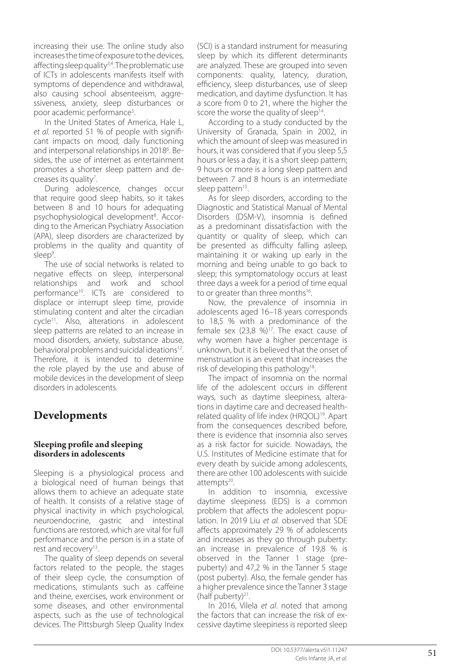increasing their use. The online study also increases the time of exposure to the devices, affecting sleep quality<sup>3,4</sup>. The problematic use of ICTs in adolescents manifests itself with symptoms of dependence and withdrawal, also causing school absenteeism, aggressiveness, anxiety, sleep disturbances or poor academic performance 5 .

In the United States of America, Hale L, *et al.* reported 51 % of people with signifi cant impacts on mood, daily functioning and interpersonal relationships in 2018<sup>6</sup>. Besides, the use of internet as entertainment promotes a shorter sleep pattern and de creases its quality<sup>7</sup>.

During adolescence, changes occur that require good sleep habits, so it takes between 8 and 10 hours for adequating psychophysiological development 8 . According to the American Psychiatry Association (APA), sleep disorders are characterized by problems in the quality and quantity of sleep<sup>9</sup> .

The use of social networks is related to negative effects on sleep, interpersonal relationships and work and school performance10. ICTs are considered to displace or interrupt sleep time, provide stimulating content and alter the circadian cycle<sup>11</sup>. Also, alterations in adolescent sleep patterns are related to an increase in mood disorders, anxiety, substance abuse, behavioral problems and suicidal ideations<sup>12</sup>. Therefore, it is intended to determine the role played by the use and abuse of mobile devices in the development of sleep disorders in adolescents.

# **Developments**

### **Sleeping profile and sleeping disorders in adolescents**

Sleeping is a physiological process and a biological need of human beings that allows them to achieve an adequate state of health. It consists of a relative stage of physical inactivity in which psychological, neuroendocrine, gastric and intestinal functions are restored, which are vital for full performance and the person is in a state of rest and recovery<sup>13</sup>. .

The quality of sleep depends on several factors related to the people, the stages of their sleep cycle, the consumption of medications, stimulants such as caffeine and theine, exercises, work environment or some diseases, and other environmental aspects, such as the use of technological devices. The Pittsburgh Sleep Quality Index

(SCI) is a standard instrument for measuring sleep by which its different determinants are analyzed. These are grouped into seven components: quality, latency, duration, efficiency, sleep disturbances, use of sleep medication, and daytime dysfunction. It has a score from 0 to 21, where the higher the score the worse the quality of sleep<sup>14</sup>. .

According to a study conducted by the University of Granada, Spain in 2002, in which the amount of sleep was measured in hours, it was considered that if you sleep 5,5 hours or less a day, it is a short sleep pattern; 9 hours or more is a long sleep pattern and between 7 and 8 hours is an intermediate sleep pattern<sup>15</sup>. .

As for sleep disorders, according to the Diagnostic and Statistical Manual of Mental Disorders (DSM-V), insomnia is defined as a predominant dissatisfaction with the quantity or quality of sleep, which can be presented as difficulty falling asleep, maintaining it or waking up early in the morning and being unable to go back to sleep; this symptomatology occurs at least three days a week for a period of time equal to or greater than three months<sup>16</sup>. .

Now, the prevalence of insomnia in adolescents aged 16–18 years corresponds to 18,5 % with a predominance of the female sex  $(23,8 \%)$ <sup>17</sup>. The exact cause of why women have a higher percentage is unknown, but it is believed that the onset of menstruation is an event that increases the risk of developing this pathology<sup>18</sup>. .

The impact of insomnia on the normal life of the adolescent occurs in different ways, such as daytime sleepiness, altera tions in daytime care and decreased healthrelated quality of life index (HRQOL)<sup>19</sup>. Apart from the consequences described before, there is evidence that insomnia also serves as a risk factor for suicide. Nowadays, the U.S. Institutes of Medicine estimate that for every death by suicide among adolescents, there are other 100 adolescents with suicide  $attemots^{20}$ . .

In addition to insomnia, excessive daytime sleepiness (EDS) is a common problem that affects the adolescent population. In 2019 Liu *et al.* observed that SDE affects approximately 29 % of adolescents and increases as they go through puberty: an increase in prevalence of 19,8 % is observed in the Tanner 1 stage (prepuberty) and 47,2 % in the Tanner 5 stage (post puberty). Also, the female gender has a higher prevalence since the Tanner 3 stage (half puberty) $21$ . .

In 2016, Vilela *et al*. noted that among the factors that can increase the risk of ex cessive daytime sleepiness is reported sleep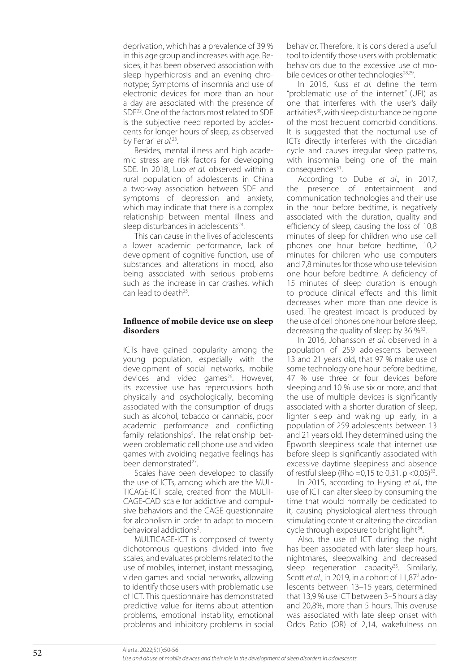deprivation, which has a prevalence of 39 % in this age group and increases with age. Be sides, it has been observed association with sleep hyperhidrosis and an evening chro notype; Symptoms of insomnia and use of electronic devices for more than an hour a day are associated with the presence of SDE22. One of the factors most related to SDE is the subjective need reported by adoles cents for longer hours of sleep, as observed by Ferrari *et al.*<sup>23</sup> .

Besides, mental illness and high academic stress are risk factors for developing SDE. In 2018, Luo *et al.* observed within a rural population of adolescents in China a two-way association between SDE and symptoms of depression and anxiety, which may indicate that there is a complex relationship between mental illness and sleep disturbances in adolescents<sup>24</sup>. .

This can cause in the lives of adolescents a lower academic performance, lack of development of cognitive function, use of substances and alterations in mood, also being associated with serious problems such as the increase in car crashes, which can lead to death25 .

### **Influence of mobile device use on sleep disorders**

ICTs have gained popularity among the young population, especially with the development of social networks, mobile devices and video games $26$ . However, its excessive use has repercussions both physically and psychologically, becoming associated with the consumption of drugs such as alcohol, tobacco or cannabis, poor academic performance and conflicting family relationships 5 . The relationship between problematic cell phone use and video games with avoiding negative feelings has been demonstrated<sup>27</sup>. .

Scales have been developed to classify the use of ICTs, among which are the MUL-TICAGE-ICT scale, created from the MULTI-CAGE-CAD scale for addictive and compulsive behaviors and the CAGE questionnaire for alcoholism in order to adapt to modern behavioral addictions 2 .

MULTICAGE-ICT is composed of twenty dichotomous questions divided into five scales, and evaluates problems related to the use of mobiles, internet, instant messaging, video games and social networks, allowing to identify those users with problematic use of ICT. This questionnaire has demonstrated predictive value for items about attention problems, emotional instability, emotional problems and inhibitory problems in social

behavior. Therefore, it is considered a useful tool to identify those users with problematic behaviors due to the excessive use of mo bile devices or other technologies<sup>28,29</sup>. .

In 2016, Kuss *et al.* define the term "problematic use of the internet" (UPI) as one that interferes with the user's daily activities<sup>30</sup>, with sleep disturbance being one of the most frequent comorbid conditions. It is suggested that the nocturnal use of ICTs directly interferes with the circadian cycle and causes irregular sleep patterns, with insomnia being one of the main consequences<sup>31</sup>. .

According to Dube *et al*., in 2017, the presence of entertainment and communication technologies and their use in the hour before bedtime, is negatively associated with the duration, quality and efficiency of sleep, causing the loss of 10,8 minutes of sleep for children who use cell phones one hour before bedtime, 10,2 minutes for children who use computers and 7,8 minutes for those who use television one hour before bedtime. A deficiency of 15 minutes of sleep duration is enough to produce clinical effects and this limit decreases when more than one device is used. The greatest impact is produced by the use of cell phones one hour before sleep, decreasing the quality of sleep by 36  $\frac{1}{3}$ . .<br>.

In 2016, Johansson *et al*. observed in a population of 259 adolescents between 13 and 21 years old, that 97 % make use of some technology one hour before bedtime, 47 % use three or four devices before sleeping and 10 % use six or more, and that the use of multiple devices is significantly associated with a shorter duration of sleep, lighter sleep and waking up early, in a population of 259 adolescents between 13 and 21 years old. They determined using the Epworth sleepiness scale that internet use before sleep is significantly associated with excessive daytime sleepiness and absence of restful sleep (Rho = 0,15 to 0,31,  $p < 0.05$ )<sup>33</sup>. .

In 2015, according to Hysing *et al.*, the use of ICT can alter sleep by consuming the time that would normally be dedicated to it, causing physiological alertness through stimulating content or altering the circadian cycle through exposure to bright light<sup>34</sup>. .

Also, the use of ICT during the night has been associated with later sleep hours, nightmares, sleepwalking and decreased sleep regeneration capacity $35$ . Similarly, Scott et al., in 2019, in a cohort of 11,87<sup>2</sup> adolescents between 13–15 years, determined that 13,9 % use ICT between 3–5 hours a day and 20,8%, more than 5 hours. This overuse was associated with late sleep onset with Odds Ratio (OR) of 2,14, wakefulness on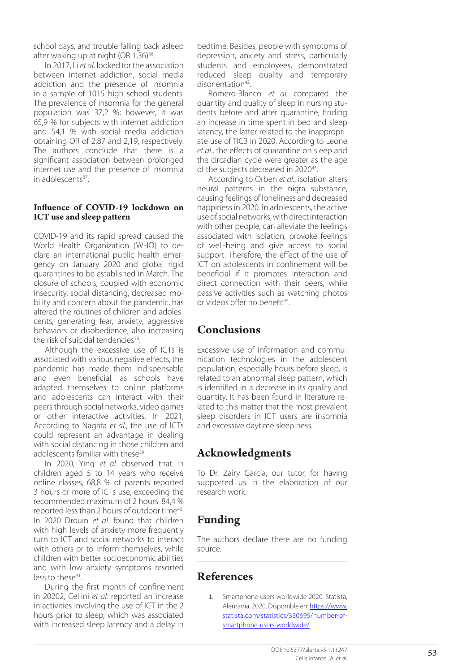school days, and trouble falling back asleep after waking up at night (OR 1,36)<sup>36</sup>. .

In 2017, Li *et al*. looked for the association between internet addiction, social media addiction and the presence of insomnia in a sample of 1015 high school students. The prevalence of insomnia for the general population was 37,2 %; however, it was 65,9 % for subjects with internet addiction and 54,1 % with social media addiction obtaining OR of 2,87 and 2,19, respectively. The authors conclude that there is a significant association between prolonged internet use and the presence of insomnia in adolescents<sup>37</sup>. .

### **Influence of COVID-19 lockdown on ICT use and sleep pattern**

COVID-19 and its rapid spread caused the World Health Organization (WHO) to de clare an international public health emer gency on January 2020 and global rigid quarantines to be established in March. The closure of schools, coupled with economic insecurity, social distancing, decreased mo bility and concern about the pandemic, has altered the routines of children and adoles cents, generating fear, anxiety, aggressive behaviors or disobedience, also increasing the risk of suicidal tendencies $38$ . .

Although the excessive use of ICTs is associated with various negative effects, the pandemic has made them indispensable and even beneficial, as schools have adapted themselves to online platforms and adolescents can interact with their peers through social networks, video games or other interactive activities. In 2021, According to Nagata *et al.*, the use of ICTs could represent an advantage in dealing with social distancing in those children and adolescents familiar with these<sup>39</sup>. .

In 2020, Ying *et al.* observed that in children aged 5 to 14 years who receive online classes, 68,8 % of parents reported 3 hours or more of ICTs use, exceeding the recommended maximum of 2 hours. 84,4 % reported less than 2 hours of outdoor time<sup>40</sup>. In 2020 Drouin *et al.* found that children with high levels of anxiety more frequently turn to ICT and social networks to interact with others or to inform themselves, while children with better socioeconomic abilities and with low anxiety symptoms resorted  $less to these<sup>41</sup>.$ .

During the first month of confinement in 20202, Cellini *et al.* reported an increase in activities involving the use of ICT in the 2 hours prior to sleep, which was associated with increased sleep latency and a delay in

bedtime. Besides, people with symptoms of depression, anxiety and stress, particularly students and employees, demonstrated reduced sleep quality and temporary disorientation $42$ . .

Romero-Blanco *et al.* compared the quantity and quality of sleep in nursing stu dents before and after quarantine, finding an increase in time spent in bed and sleep latency, the latter related to the inappropri ate use of TIC3 in 2020. According to Leone *et al.*, the effects of quarantine on sleep and the circadian cycle were greater as the age of the subjects decreased in 2020<sup>43</sup>. .

According to Orben *et al.*, isolation alters neural patterns in the nigra substance, causing feelings of loneliness and decreased happiness in 2020. In adolescents, the active use of social networks, with direct interaction with other people, can alleviate the feelings associated with isolation, provoke feelings of well-being and give access to social support. Therefore, the effect of the use of ICT on adolescents in confinement will be beneficial if it promotes interaction and direct connection with their peers, while passive activities such as watching photos or videos offer no benefit<sup>44</sup>. .

# **Conclusions**

Excessive use of information and commu nication technologies in the adolescent population, especially hours before sleep, is related to an abnormal sleep pattern, which is identified in a decrease in its quality and quantity. It has been found in literature re lated to this matter that the most prevalent sleep disorders in ICT users are insomnia and excessive daytime sleepiness.

# **Acknowledgments**

To Dr. Zairy García, our tutor, for having supported us in the elaboration of our research work.

# **Funding**

The authors declare there are no funding source.

# **References**

1. Smartphone users worldwide 2020, Statista, Alemania, 2020. Disponible en: https://www. statista.com/statistics/330695/number-ofsmartphone-users-worldwide/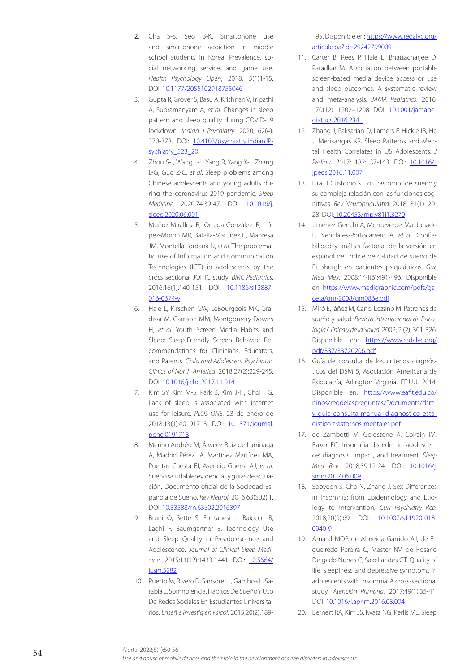- 2. Cha S-S, Seo B-K. Smartphone use and smartphone addiction in middle school students in Korea: Prevalence, social networking service, and game use. *Health Psychology Open*; 2018, 5(1)1-15. DOI: 10.1177/2055102918755046
- 3. Gupta R, Grover S, Basu A, Krishnan V, Tripathi A, Subramanyam A, *et al*. Changes in sleep pattern and sleep quality during COVID-19 lockdown. *Indian J Psychiatry*. 2020; 62(4): 370-378. DOI: 10.4103/psychiatry.IndianJPsychiatry\_523\_20
- 4. Zhou S-J, Wang L-L, Yang R, Yang X-J, Zhang L-G, Guo Z-C, *et al*. Sleep problems among Chinese adolescents and young adults during the coronavirus-2019 pandemic. *Sleep Medicine*. 2020;74:39-47. DOI: 10.1016/j. sleep.2020.06.001
- 5. Muñoz-Miralles R, Ortega-González R, López-Morón MR, Batalla-Martínez C, Manresa JM, Montellà-Jordana N, *et al*. The problematic use of Information and Communication Technologies (ICT) in adolescents by the cross sectional JOITIC study. *BMC Pediatrics*. 2016;16(1):140-151. DOI: 10.1186/s12887-016-0674-y
- 6. Hale L, Kirschen GW, LeBourgeois MK, Gradisar M, Garrison MM, Montgomery-Downs H, *et al*. Youth Screen Media Habits and Sleep: Sleep-Friendly Screen Behavior Recommendations for Clinicians, Educators, and Parents. *Child and Adolescent Psychiatric Clinics of North America*. 2018;27(2):229-245. DOI: 10.1016/j.chc.2017.11.014.
- 7. Kim SY, Kim M-S, Park B, Kim J-H, Choi HG. Lack of sleep is associated with internet use for leisure. *PLOS ONE*. 23 de enero de 2018;13(1):e0191713. DOI: 10.1371/journal. pone.0191713
- 8. Merino Andréu M, Álvarez Ruiz de Larrinaga A, Madrid Pérez JA, Martínez Martínez MÁ, Puertas Cuesta FJ, Asencio Guerra AJ, *et al*. Sueño saludable: evidencias y guías de actuación. Documento oficial de la Sociedad Española de Sueño. *Rev Neurol*. 2016;63(S02):1. DOI: 10.33588/rn.63S02.2016397
- 9. Bruni O, Sette S, Fontanesi L, Baiocco R, Laghi F, Baumgartner E. Technology Use and Sleep Quality in Preadolescence and Adolescence. *Journal of Clinical Sleep Medicine*. 2015;11(12):1433-1441. DOI: 10.5664/ jcsm.5282
- 10. Puerto M, Rivero D, Sansores L, Gamboa L, Sarabia L. Somnolencia, Hábitos De Sueño Y Uso De Redes Sociales En Estudiantes Universitarios. *Enseñ e Investig en Psicol*. 2015;20(2):189-

195. Disponible en: https://www.redalyc.org/ articulo.oa?id=29242799009

- 11. Carter B, Rees P, Hale L, Bhattacharjee D, Paradkar M. Association between portable screen-based media device access or use and sleep outcomes: A systematic review and meta-analysis. *JAMA Pediatrics*. 2016; 170(12): 1202–1208. DOI: 10.1001/jamapediatrics.2016.2341
- 12. Zhang J, Paksarian D, Lamers F, Hickie IB, He J, Merikangas KR. Sleep Patterns and Mental Health Correlates in US Adolescents. *J*  Pediatr. 2017; 182:137-143. DOI: 10.1016/j. jpeds.2016.11.007.
- 13. Lira D, Custodio N. Los trastornos del sueño y su compleja relación con las funciones cognitivas. *Rev Neuropsiquiatra*. 2018; 81(1): 20- 28. DOI: 10.20453/rnp.v81i1.3270
- 14. Jiménez-Genchi A, Monteverde-Maldonado E, Nenclares-Portocarrero A, *et al*. Confiabilidad y análisis factorial de la versión en español del índice de calidad de sueño de Pittsburgh en pacientes psiquiátricos. *Gac Med Mex*. 2008;144(6):491-496. Disponible en: https://www.medigraphic.com/pdfs/gaceta/gm-2008/gm086e.pdf
- 15. Miró E, Iáñez M, Cano-Lozano M. Patrones de sueño y salud*. Revista Internacional de Psicología Clínica y de la Salud*. 2002; 2 (2): 301-326. Disponible en: https://www.redalyc.org/ pdf/337/33720206.pdf
- 16. Guía de consulta de los criterios diagnósticos del DSM 5, Asociación Americana de Psiquiatría, Arlington Virginia, EE.UU, 2014. Disponible en: https://www.eafit.edu.co/ ninos/reddelaspreguntas/Documents/dsmv-guia-consulta-manual-diagnostico-estadistico-trastornos-mentales.pdf
- 17. de Zambotti M, Goldstone A, Colrain IM, Baker FC. Insomnia disorder in adolescence: diagnosis, impact, and treatment. *Sleep Med Rev*. 2018;39:12-24. DOI: 10.1016/j. smrv.2017.06.009
- 18. Sooyeon S, Cho N, Zhang J. Sex Differences in Insomnia: from Epidemiology and Etiology to Intervention. *Curr Psychiatry Rep*. 2018;20(9):69. DOI: 10.1007/s11920-018- 0940-9
- 19. Amaral MOP, de Almeida Garrido AJ, de Figueiredo Pereira C, Master NV, de Rosário Delgado Nunes C, Sakellarides CT. Quality of life, sleepiness and depressive symptoms in adolescents with insomnia: A cross-sectional study. *Atención Primaria.* 2017;49(1):35-41. DOI: 10.1016/j.aprim.2016.03.004
- 20. Bernert RA, Kim JS, Iwata NG, Perlis ML. Sleep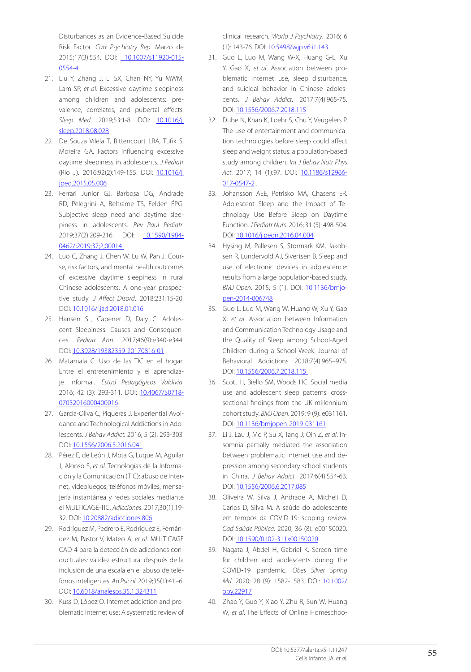Disturbances as an Evidence-Based Suicide Risk Factor. *Curr Psychiatry Rep*. Marzo de 2015;17(3):554. DOI: 10.1007/s11920-015-0554-4

- 21. Liu Y, Zhang J, Li SX, Chan NY, Yu MWM, Lam SP, *et al*. Excessive daytime sleepiness among children and adolescents: prevalence, correlates, and pubertal effects. *Sleep Med*. 2019;53:1-8. DOI: 10.1016/j. sleep.2018.08.028
- 22. De Souza Vilela T, Bittencourt LRA, Tufik S, Moreira GA. Factors influencing excessive daytime sleepiness in adolescents. *J Pediatr* (Rio J). 2016;92(2):149-155. DOI: 10.1016/j. jped.2015.05.006
- 23. Ferrari Junior GJ, Barbosa DG, Andrade RD, Pelegrini A, Beltrame TS, Felden ÉPG. Subjective sleep need and daytime sleepiness in adolescents. *Rev Paul Pediatr*. 2019;37(2):209-216. DOI: 10.1590/1984- 0462/;2019;37;2;00014
- 24. Luo C, Zhang J, Chen W, Lu W, Pan J. Course, risk factors, and mental health outcomes of excessive daytime sleepiness in rural Chinese adolescents: A one-year prospective study. *J Affect Disord*. 2018;231:15-20. DOI: 10.1016/j.jad.2018.01.016
- 25. Hansen SL, Capener D, Daly C. Adolescent Sleepiness: Causes and Consequences. *Pediatr Ann*. 2017;46(9):e340-e344. DOI: 10.3928/19382359-20170816-01
- 26. Matamala C. Uso de las TIC en el hogar: Entre el entretenimiento y el aprendizaje informal. *Estud Pedagógicos Valdivia*. 2016; 42 (3): 293-311. DOI: 10.4067/S0718-07052016000400016
- 27. García-Oliva C, Piqueras J. Experiential Avoidance and Technological Addictions in Adolescents. *J Behav Addict.* 2016; 5 (2): 293-303. DOI: 10.1556/2006.5.2016.041
- 28. Pérez E, de León J, Mota G, Luque M, Aguilar J, Alonso S, *et al*. Tecnologías de la Información y la Comunicación (TIC): abuso de Internet, videojuegos, teléfonos móviles, mensajería instantánea y redes sociales mediante el MULTICAGE-TIC. *Adicciones*. 2017;30(1):19- 32. DOI: 10.20882/adicciones.806
- 29. Rodríguez M, Pedrero E, Rodríguez E, Fernández M, Pastor V, Mateo A, *et al*. MULTICAGE CAD-4 para la detección de adicciones conductuales: validez estructural después de la inclusión de una escala en el abuso de teléfonos inteligentes. *An Psicol*. 2019;35(1):41–6. DOI: 10.6018/analesps.35.1.324311
- 30. Kuss D, López O. Internet addiction and problematic Internet use: A systematic review of

clinical research. *World J Psychiatry*. 2016; 6 (1): 143-76. DOI: 10.5498/wjp.v6.i1.143

- 31. Guo L, Luo M, Wang W-X, Huang G-L, Xu Y, Gao X, *et al*. Association between problematic Internet use, sleep disturbance, and suicidal behavior in Chinese adolescents. *J Behav Addict.* 2017;7(4):965-75. DOI: 10.1556/2006.7.2018.115
- 32. Dube N, Khan K, Loehr S, Chu Y, Veugelers P. The use of entertainment and communication technologies before sleep could affect sleep and weight status: a population-based study among children. *Int J Behav Nutr Phys Act*. 2017; 14 (1):97. DOI: 10.1186/s12966- 017-0547-2 .
- 33. Johansson AEE, Petrisko MA, Chasens ER. Adolescent Sleep and the Impact of Technology Use Before Sleep on Daytime Function. *J Pediatr Nurs*. 2016; 31 (5): 498-504. DOI: 10.1016/j.pedn.2016.04.004
- 34. Hysing M, Pallesen S, Stormark KM, Jakobsen R, Lundervold AJ, Sivertsen B. Sleep and use of electronic devices in adolescence: results from a large population-based study. *BMJ Open.* 2015; 5 (1). DOI: 10.1136/bmjopen-2014-006748
- 35. Guo L, Luo M, Wang W, Huang W, Xu Y, Gao X, *et al*. Association between Information and Communication Technology Usage and the Quality of Sleep among School-Aged Children during a School Week. Journal of Behavioral Addictions 2018;7(4):965–975. DOI: 10.1556/2006.7.2018.115
- 36. Scott H, Biello SM, Woods HC. Social media use and adolescent sleep patterns: crosssectional findings from the UK millennium cohort study. *BMJ Open*. 2019; 9 (9): e031161. DOI: 10.1136/bmjopen-2019-031161
- 37. Li J, Lau J, Mo P, Su X, Tang J, Qin Z, *et al*. Insomnia partially mediated the association between problematic Internet use and depression among secondary school students in China. *J Behav Addict.* 2017;6(4):554-63. DOI: 10.1556/2006.6.2017.085
- 38. Oliveira W, Silva J, Andrade A, Micheli D, Carlos D, Silva M. A saúde do adolescente em tempos da COVID-19: scoping review. *Cad Saúde Pública*. 2020; 36 (8): e00150020. DOI: 10.1590/0102-311x00150020.
- 39. Nagata J, Abdel H, Gabriel K. Screen time for children and adolescents during the COVID‐19 pandemic. *Obes Silver Spring Md.* 2020; 28 (9): 1582-1583. DOI: 10.1002/ oby.22917
- 40. Zhao Y, Guo Y, Xiao Y, Zhu R, Sun W, Huang W, *et al*. The Effects of Online Homeschoo-